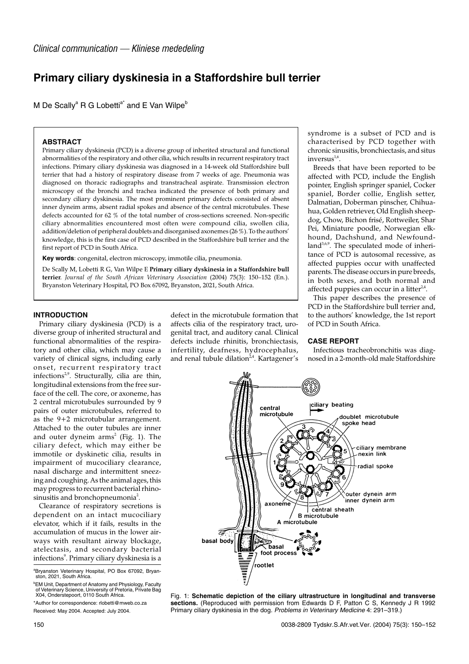# **Primary ciliary dyskinesia in a Staffordshire bull terrier**

M De Scally<sup>a</sup> R G Lobetti<sup>a\*</sup> and E Van Wilpe<sup>b</sup>

#### **ABSTRACT**

Primary ciliary dyskinesia (PCD) is a diverse group of inherited structural and functional abnormalities of the respiratory and other cilia, which results in recurrent respiratory tract infections. Primary ciliary dyskinesia was diagnosed in a 14-week old Staffordshire bull terrier that had a history of respiratory disease from 7 weeks of age. Pneumonia was diagnosed on thoracic radiographs and transtracheal aspirate. Transmission electron microscopy of the bronchi and trachea indicated the presence of both primary and secondary ciliary dyskinesia. The most prominent primary defects consisted of absent inner dyneim arms, absent radial spokes and absence of the central microtubules. These defects accounted for 62 % of the total number of cross-sections screened. Non-specific ciliary abnormalities encountered most often were compound cilia, swollen cilia, addition/deletion of peripheral doublets and disorganised axonemes (26 %). To the authors' knowledge, this is the first case of PCD described in the Staffordshire bull terrier and the first report of PCD in South Africa.

**Key words**: congenital, electron microscopy, immotile cilia, pneumonia.

De Scally M, Lobetti R G, Van Wilpe E **Primary ciliary dyskinesia in a Staffordshire bull terrier**. *Journal of the South African Veterinary Association* (2004) 75(3): 150–152 (En.). Bryanston Veterinary Hospital, PO Box 67092, Bryanston, 2021, South Africa.

#### **INTRODUCTION**

Primary ciliary dyskinesia (PCD) is a diverse group of inherited structural and functional abnormalities of the respiratory and other cilia, which may cause a variety of clinical signs, including early onset, recurrent respiratory tract infections<sup>2,9</sup>. Structurally, cilia are thin, longitudinal extensions from the free surface of the cell. The core, or axoneme, has 2 central microtubules surrounded by 9 pairs of outer microtubules, referred to as the  $9+2$  microtubular arrangement. Attached to the outer tubules are inner and outer dyneim  $arms<sup>2</sup>$  (Fig. 1). The ciliary defect, which may either be immotile or dyskinetic cilia, results in impairment of mucociliary clearance, nasal discharge and intermittent sneezing and coughing. As the animal ages, this may progress to recurrent bacterial rhinosinusitis and bronchopneumonia<sup>2</sup>.

Clearance of respiratory secretions is dependent on an intact mucociliary elevator, which if it fails, results in the accumulation of mucus in the lower airways with resultant airway blockage, atelectasis, and secondary bacterial infections<sup>9</sup>. Primary ciliary dyskinesia is a

defect in the microtubule formation that affects cilia of the respiratory tract, urogenital tract, and auditory canal. Clinical defects include rhinitis, bronchiectasis, infertility, deafness, hydrocephalus, and renal tubule dilation $24$ . Kartagener's

syndrome is a subset of PCD and is characterised by PCD together with chronic sinusitis, bronchiectasis, and situs inversus<sup>1,6</sup>.

Breeds that have been reported to be affected with PCD, include the English pointer, English springer spaniel, Cocker spaniel, Border collie, English setter, Dalmatian, Doberman pinscher, Chihuahua, Golden retriever, Old English sheepdog, Chow, Bichon frisé, Rottweiler, Shar Pei, Miniature poodle, Norwegian elkhound, Dachshund, and Newfound $land<sup>3,6,9</sup>$ . The speculated mode of inheritance of PCD is autosomal recessive, as affected puppies occur with unaffected parents. The disease occurs in pure breeds, in both sexes, and both normal and affected puppies can occur in a litter $24$ .

This paper describes the presence of PCD in the Staffordshire bull terrier and, to the authors' knowledge, the 1st report of PCD in South Africa.

#### **CASE REPORT**

Infectious tracheobronchitis was diagnosed in a 2-month-old male Staffordshire



Fig. 1: **Schematic depiction of the ciliary ultrastructure in longitudinal and transverse sections.** (Reproduced with permission from Edwards D F, Patton C S, Kennedy J R 1992 Primary ciliary dyskinesia in the dog. Problems in Veterinary Medicine 4: 291–319.)

a Bryanston Veterinary Hospital, PO Box 67092, Bryan-ston, 2021, South Africa.

**EM Unit, Department of Anatomy and Physiology, Faculty** of Veterinary Science, University of Pretoria, Private Bag X04, Onderstepoort, 0110 South Africa.

<sup>\*</sup>Author for correspondence: rlobetti@mweb.co.za Received: May 2004. Accepted: July 2004.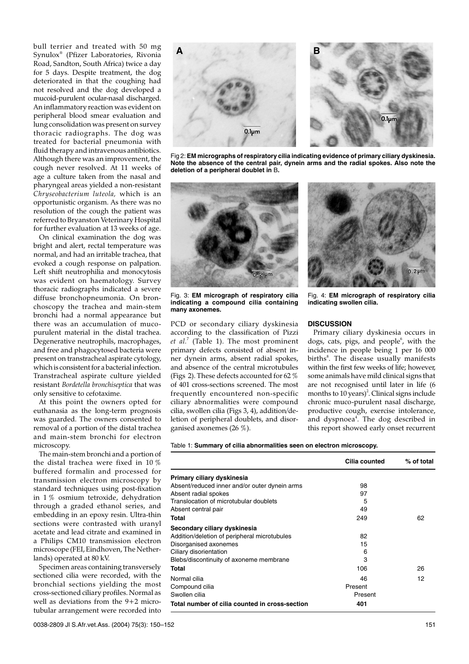bull terrier and treated with 50 mg Synulox® (Pfizer Laboratories, Rivonia Road, Sandton, South Africa) twice a day for 5 days. Despite treatment, the dog deteriorated in that the coughing had not resolved and the dog developed a mucoid-purulent ocular-nasal discharged. An inflammatory reaction was evident on peripheral blood smear evaluation and lung consolidation was present on survey thoracic radiographs. The dog was treated for bacterial pneumonia with fluid therapy and intravenous antibiotics. Although there was an improvement, the cough never resolved. At 11 weeks of age a culture taken from the nasal and pharyngeal areas yielded a non-resistant *Chryseobacterium luteola,* which is an opportunistic organism. As there was no resolution of the cough the patient was referred to Bryanston Veterinary Hospital for further evaluation at 13 weeks of age.

On clinical examination the dog was bright and alert, rectal temperature was normal, and had an irritable trachea, that evoked a cough response on palpation. Left shift neutrophilia and monocytosis was evident on haematology. Survey thoracic radiographs indicated a severe diffuse bronchopneumonia. On bronchoscopy the trachea and main-stem bronchi had a normal appearance but there was an accumulation of mucopurulent material in the distal trachea. Degenerative neutrophils, macrophages, and free and phagocytosed bacteria were present on transtracheal aspirate cytology, which is consistent for a bacterial infection. Transtracheal aspirate culture yielded resistant *Bordetella bronchiseptica* that was only sensitive to cefotaxime.

At this point the owners opted for euthanasia as the long-term prognosis was guarded. The owners consented to removal of a portion of the distal trachea and main-stem bronchi for electron microscopy.

The main-stem bronchi and a portion of the distal trachea were fixed in 10 % buffered formalin and processed for transmission electron microscopy by standard techniques using post-fixation in 1 % osmium tetroxide, dehydration through a graded ethanol series, and embedding in an epoxy resin. Ultra-thin sections were contrasted with uranyl acetate and lead citrate and examined in a Philips CM10 transmission electron microscope (FEI, Eindhoven, The Netherlands) operated at 80 kV.

Specimen areas containing transversely sectioned cilia were recorded, with the bronchial sections yielding the most cross-sectioned ciliary profiles. Normal as well as deviations from the 9+2 microtubular arrangement were recorded into



Fig 2: **EM micrographs of respiratory cilia indicating evidence of primary ciliary dyskinesia. Note the absence of the central pair, dynein arms and the radial spokes. Also note the deletion of a peripheral doublet in** B**.**



Fig. 3: **EM micrograph of respiratory cilia indicating a compound cilia containing many axonemes.**

PCD or secondary ciliary dyskinesia according to the classification of Pizzi *et al.*<sup>7</sup> (Table 1). The most prominent primary defects consisted of absent inner dynein arms, absent radial spokes, and absence of the central microtubules (Figs 2). These defects accounted for 62 % of 401 cross-sections screened. The most frequently encountered non-specific ciliary abnormalities were compound cilia, swollen cilia (Figs 3, 4), addition/deletion of peripheral doublets, and disorganised axonemes (26 %).



Fig. 4: **EM micrograph of respiratory cilia indicating swollen cilia.**

#### **DISCUSSION**

Primary ciliary dyskinesia occurs in dogs, cats, pigs, and people<sup>6</sup>, with the incidence in people being 1 per 16 000 births $^8$ . The disease usually manifests within the first few weeks of life; however, some animals have mild clinical signs that are not recognised until later in life (6 months to  $10$  years)<sup>2</sup>. Clinical signs include chronic muco-purulent nasal discharge, productive cough, exercise intolerance, and dyspnoea<sup>4</sup>. The dog described in this report showed early onset recurrent

|  |  | Table 1: Summary of cilia abnormalities seen on electron microscopy. |  |  |  |  |  |  |  |  |  |  |
|--|--|----------------------------------------------------------------------|--|--|--|--|--|--|--|--|--|--|
|--|--|----------------------------------------------------------------------|--|--|--|--|--|--|--|--|--|--|

|                                                | Cilia counted | % of total |
|------------------------------------------------|---------------|------------|
| Primary ciliary dyskinesia                     |               |            |
| Absent/reduced inner and/or outer dynein arms  | 98            |            |
| Absent radial spokes                           | 97            |            |
| Translocation of microtubular doublets         | 5             |            |
| Absent central pair                            | 49            |            |
| Total                                          | 249           | 62         |
| Secondary ciliary dyskinesia                   |               |            |
| Addition/deletion of peripheral microtubules   | 82            |            |
| Disorganised axonemes                          | 15            |            |
| Ciliary disorientation                         | 6             |            |
| Blebs/discontinuity of axoneme membrane        | 3             |            |
| Total                                          | 106           | 26         |
| Normal cilia                                   | 46            | 12         |
| Compound cilia                                 | Present       |            |
| Swollen cilia                                  | Present       |            |
| Total number of cilia counted in cross-section | 401           |            |